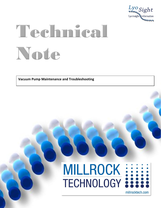

# Technical Note

**Vacuum Pump Maintenance and Troubleshooting**



millrocktech.com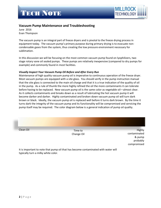

### **Vacuum Pump Maintenance and Troubleshooting**

June 2016 Evan Thompson

The vacuum pump is an integral part of freeze dryers and is pivotal to the freeze drying process in equipment today. The vacuum pump's primary purpose during primary drying is to evacuate noncondensable gases from the system, thus creating the low pressure environment necessary for sublimation.

In this discussion we will be focusing on the most common vacuum pump found on lyophilizers, two stage rotary vane oil sealed pumps. These pumps are relatively inexpensive (compared to dry pumps for example) and commonly found in most facilities.

#### *Visually Inspect Your Vacuum Pump Oil Before and After Every Run*

Maintenance of high quality vacuum pump oil is imperative to continuous operation of the freeze dryer. Most vacuum pumps are equipped with a site glass. You should verify in the pump instruction manual that the site glass is connected to the main oil charge and that it is a true indication of the quality of oil in the pump. As a rule of thumb the more highly refined the oil the more contaminants it can tolerate before having to be replaced. New vacuum pump oil is the same color as vegetable oil—almost clear. As it collects contaminants and breaks down as a result of lubricating the hot vacuum pump it will become darker and darker. Highly contaminated and broken down vacuum pump oil will turn dark brown or black. Ideally, the vacuum pump oil is replaced well before it turns dark brown. By the time it turns dark the integrity of the vacuum pump and its functionality will be compromised and servicing the pump itself may be required. The color diagram below is a general indication of pump oil quality.

Clean Oil Time to Change Oil

Highly contaminated & pump probably compromised

It is important to note that pump oil that has become contaminated with water will typically turn a milky white color.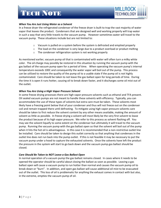## TECH NOTE



#### *When You Are Just Using Water as a Solvent*

In a freeze dryer the refrigerated condenser of the freeze dryer is built to trap the vast majority of water vapor that leaves the product. Condensers that are designed well and working properly will trap water in such a way that very little travels to the vacuum pump. However sometimes water will travel to the vacuum pump. These situations include but are not limited to:

- $\circ$  Vacuum is pulled on a system before the system is defrosted and emptied properly
- $\circ$  The load on the condenser is very large due to a product overload or product melting
- o The condenser refrigeration system is not working properly

As mentioned earlier, vacuum pump oil that is contaminated with water will often turn a milky white color. The oil charge may possibly be restored in this situation by running the vacuum pump with the gas ballast of the vacuum pump open for a period of time. When operating the vacuum pump's internal temperature exceeds 100C and consequently the water vapor will boil out of the pump. This process can be utilized to restore the quality of the pump oil to a usable state if the pump oil is not highly contaminated. Care should be taken to not leave the gas ballast open for long periods of time. During the time it is open it runs hotter, causing oil to break down faster, and it discharges some oil mist out of the outlet.

#### *When You Are Using a High Vapor Pressure Solvent*

In some freeze drying processes there are high vapor pressure solvents such as ethanol and TFA present. Oil sealed vacuum pumps are not meant to handle these solvents with efficiency. Typically, you can accommodate the use of these types of solvents but extra care must be taken. These solvents most likely have a freezing point below that of your condenser and thus will not freeze out on the condenser coil and remain trapped there until defrosting. To mitigate using high vapor pressure solvents care should be taken to first reduce the solvent content by any other means available, making the amount of solvent as little as possible. In freeze drying a solvent will most likely be the very first solvent to leave the product because of its high vapor pressure. We refer to this process as solvent flashing off. You may see the solvent liquefy to some extent on the condenser but ultimately it will travel to the vacuum pump. Running the vacuum pump with the gas ballast open so that the solvent will boil out of the pump when it hits the hot oil is advantageous. In this case it is recommended that a non-restrictive outlet line be installed. Care should be taken to design this outlet correctly so that anything that condenses in the outlet line does not run back into the pump outlet. If this is not feasible it may be necessary to put the vacuum pump under a hood to capture the exhausted solvents. Once the solvents have left the product the pressure in the system will start to go back down and the vacuum pump gas ballast should be closed.

#### *Care Should Be Taken to NOT Leave a Gas Ballast Open*

In normal operation of a vacuum pump the gas ballast remains closed. In cases where it needs to be opened the operator should be careful about closing the ballast as soon as possible. Leaving a gas ballast open will cause a vacuum pump to run hotter than normal and causes the vacuum pump oil to break down or "burn". In addition, and open gas ballast will cause additional oil mist to be evacuated out of the outlet. This loss of oil is problematic for anything the exhaust comes in contact with but also, in the extreme, empties the vacuum pump of oil.